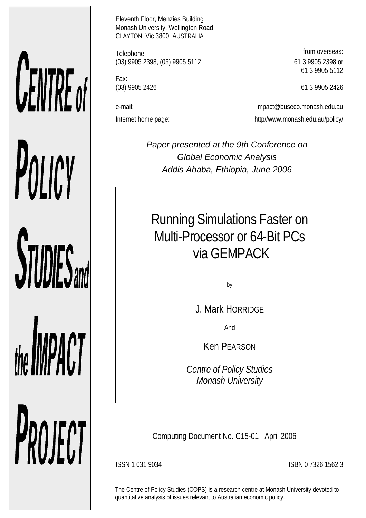# **UENTRE** of POLICY **STUDIES**

the **IMPACT** PROJECT Eleventh Floor, Menzies Building Monash University, Wellington Road CLAYTON Vic 3800 AUSTRALIA

Telephone: **from overseas: from overseas:** (03) 9905 2398, (03) 9905 5112 61 3 9905 2398 or

Fax:

61 3 9905 5112

(03) 9905 2426 61 3 9905 2426

e-mail: impact@buseco.monash.edu.au Internet home page: http://www.monash.edu.au/policy/

> *Paper presented at the 9th Conference on Global Economic Analysis Addis Ababa, Ethiopia, June 2006*

Running Simulations Faster on Multi-Processor or 64-Bit PCs via GEMPACK

by

J. Mark HORRIDGE

And

Ken PEARSON

*Centre of Policy Studies Monash University*

Computing Document No. C15-01 April 2006

ISSN 1 031 9034 ISBN 0 7326 1562 3

The Centre of Policy Studies (COPS) is a research centre at Monash University devoted to quantitative analysis of issues relevant to Australian economic policy.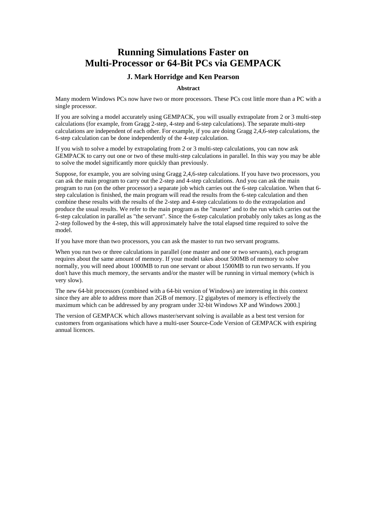# **Running Simulations Faster on Multi-Processor or 64-Bit PCs via GEMPACK**

#### **J. Mark Horridge and Ken Pearson**

#### **Abstract**

Many modern Windows PCs now have two or more processors. These PCs cost little more than a PC with a single processor.

If you are solving a model accurately using GEMPACK, you will usually extrapolate from 2 or 3 multi-step calculations (for example, from Gragg 2-step, 4-step and 6-step calculations). The separate multi-step calculations are independent of each other. For example, if you are doing Gragg 2,4,6-step calculations, the 6-step calculation can be done independently of the 4-step calculation.

If you wish to solve a model by extrapolating from 2 or 3 multi-step calculations, you can now ask GEMPACK to carry out one or two of these multi-step calculations in parallel. In this way you may be able to solve the model significantly more quickly than previously.

Suppose, for example, you are solving using Gragg 2,4,6-step calculations. If you have two processors, you can ask the main program to carry out the 2-step and 4-step calculations. And you can ask the main program to run (on the other processor) a separate job which carries out the 6-step calculation. When that 6 step calculation is finished, the main program will read the results from the 6-step calculation and then combine these results with the results of the 2-step and 4-step calculations to do the extrapolation and produce the usual results. We refer to the main program as the "master" and to the run which carries out the 6-step calculation in parallel as "the servant". Since the 6-step calculation probably only takes as long as the 2-step followed by the 4-step, this will approximately halve the total elapsed time required to solve the model.

If you have more than two processors, you can ask the master to run two servant programs.

When you run two or three calculations in parallel (one master and one or two servants), each program requires about the same amount of memory. If your model takes about 500MB of memory to solve normally, you will need about 1000MB to run one servant or about 1500MB to run two servants. If you don't have this much memory, the servants and/or the master will be running in virtual memory (which is very slow).

The new 64-bit processors (combined with a 64-bit version of Windows) are interesting in this context since they are able to address more than 2GB of memory. [2 gigabytes of memory is effectively the maximum which can be addressed by any program under 32-bit Windows XP and Windows 2000.]

The version of GEMPACK which allows master/servant solving is available as a best test version for customers from organisations which have a multi-user Source-Code Version of GEMPACK with expiring annual licences.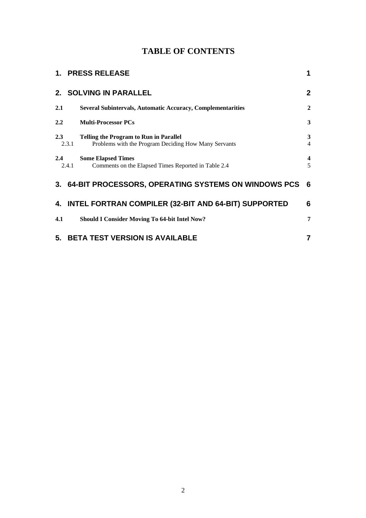# **TABLE OF CONTENTS**

|                                                              | 1. PRESS RELEASE                                                                                      | 1                            |  |  |  |  |
|--------------------------------------------------------------|-------------------------------------------------------------------------------------------------------|------------------------------|--|--|--|--|
|                                                              | 2. SOLVING IN PARALLEL                                                                                | $\mathbf{2}$                 |  |  |  |  |
| 2.1                                                          | <b>Several Subintervals, Automatic Accuracy, Complementarities</b>                                    | $\overline{2}$               |  |  |  |  |
| 2.2                                                          | <b>Multi-Processor PCs</b>                                                                            | 3                            |  |  |  |  |
| 2.3<br>2.3.1                                                 | <b>Telling the Program to Run in Parallel</b><br>Problems with the Program Deciding How Many Servants | 3<br>$\overline{4}$          |  |  |  |  |
| 2.4<br>2.4.1                                                 | <b>Some Elapsed Times</b><br>Comments on the Elapsed Times Reported in Table 2.4                      | $\overline{\mathbf{4}}$<br>5 |  |  |  |  |
|                                                              | 3. 64-BIT PROCESSORS, OPERATING SYSTEMS ON WINDOWS PCS                                                | 6                            |  |  |  |  |
| 4. INTEL FORTRAN COMPILER (32-BIT AND 64-BIT) SUPPORTED<br>6 |                                                                                                       |                              |  |  |  |  |
| 4.1                                                          | <b>Should I Consider Moving To 64-bit Intel Now?</b>                                                  | 7                            |  |  |  |  |
| <b>BETA TEST VERSION IS AVAILABLE</b><br>7<br>5.             |                                                                                                       |                              |  |  |  |  |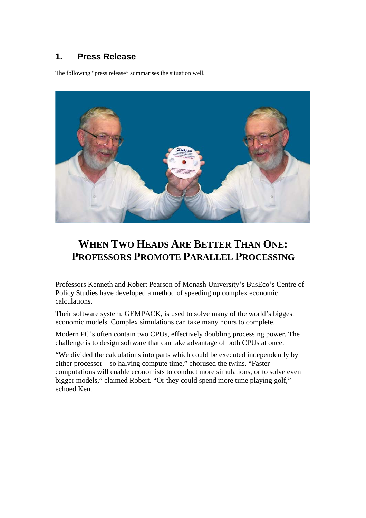# **1. Press Release**

The following "press release" summarises the situation well.



# **WHEN TWO HEADS ARE BETTER THAN ONE: PROFESSORS PROMOTE PARALLEL PROCESSING**

Professors Kenneth and Robert Pearson of Monash University's BusEco's Centre of Policy Studies have developed a method of speeding up complex economic calculations.

Their software system, GEMPACK, is used to solve many of the world's biggest economic models. Complex simulations can take many hours to complete.

Modern PC's often contain two CPUs, effectively doubling processing power. The challenge is to design software that can take advantage of both CPUs at once.

"We divided the calculations into parts which could be executed independently by either processor – so halving compute time," chorused the twins. "Faster computations will enable economists to conduct more simulations, or to solve even bigger models," claimed Robert. "Or they could spend more time playing golf," echoed Ken.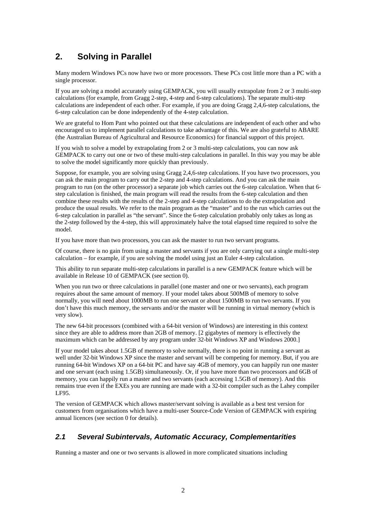# **2. Solving in Parallel**

Many modern Windows PCs now have two or more processors. These PCs cost little more than a PC with a single processor.

If you are solving a model accurately using GEMPACK, you will usually extrapolate from 2 or 3 multi-step calculations (for example, from Gragg 2-step, 4-step and 6-step calculations). The separate multi-step calculations are independent of each other. For example, if you are doing Gragg 2,4,6-step calculations, the 6-step calculation can be done independently of the 4-step calculation.

We are grateful to Hom Pant who pointed out that these calculations are independent of each other and who encouraged us to implement parallel calculations to take advantage of this. We are also grateful to ABARE (the Australian Bureau of Agricultural and Resource Economics) for financial support of this project.

If you wish to solve a model by extrapolating from 2 or 3 multi-step calculations, you can now ask GEMPACK to carry out one or two of these multi-step calculations in parallel. In this way you may be able to solve the model significantly more quickly than previously.

Suppose, for example, you are solving using Gragg 2,4,6-step calculations. If you have two processors, you can ask the main program to carry out the 2-step and 4-step calculations. And you can ask the main program to run (on the other processor) a separate job which carries out the 6-step calculation. When that 6 step calculation is finished, the main program will read the results from the 6-step calculation and then combine these results with the results of the 2-step and 4-step calculations to do the extrapolation and produce the usual results. We refer to the main program as the "master" and to the run which carries out the 6-step calculation in parallel as "the servant". Since the 6-step calculation probably only takes as long as the 2-step followed by the 4-step, this will approximately halve the total elapsed time required to solve the model.

If you have more than two processors, you can ask the master to run two servant programs.

Of course, there is no gain from using a master and servants if you are only carrying out a single multi-step calculation – for example, if you are solving the model using just an Euler 4-step calculation.

This ability to run separate multi-step calculations in parallel is a new GEMPACK feature which will be available in Release 10 of GEMPACK (see section 0).

When you run two or three calculations in parallel (one master and one or two servants), each program requires about the same amount of memory. If your model takes about 500MB of memory to solve normally, you will need about 1000MB to run one servant or about 1500MB to run two servants. If you don't have this much memory, the servants and/or the master will be running in virtual memory (which is very slow).

The new 64-bit processors (combined with a 64-bit version of Windows) are interesting in this context since they are able to address more than 2GB of memory. [2 gigabytes of memory is effectively the maximum which can be addressed by any program under 32-bit Windows XP and Windows 2000.]

If your model takes about 1.5GB of memory to solve normally, there is no point in running a servant as well under 32-bit Windows XP since the master and servant will be competing for memory. But, if you are running 64-bit Windows XP on a 64-bit PC and have say 4GB of memory, you can happily run one master and one servant (each using 1.5GB) simultaneously. Or, if you have more than two processors and 6GB of memory, you can happily run a master and two servants (each accessing 1.5GB of memory). And this remains true even if the EXEs you are running are made with a 32-bit compiler such as the Lahey compiler LF95.

The version of GEMPACK which allows master/servant solving is available as a best test version for customers from organisations which have a multi-user Source-Code Version of GEMPACK with expiring annual licences (see section 0 for details).

#### *2.1 Several Subintervals, Automatic Accuracy, Complementarities*

Running a master and one or two servants is allowed in more complicated situations including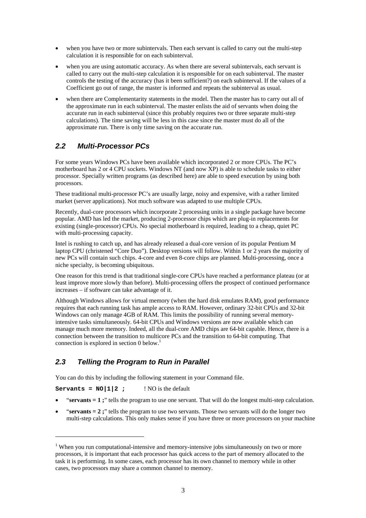- when you have two or more subintervals. Then each servant is called to carry out the multi-step calculation it is responsible for on each subinterval.
- when you are using automatic accuracy. As when there are several subintervals, each servant is called to carry out the multi-step calculation it is responsible for on each subinterval. The master controls the testing of the accuracy (has it been sufficient?) on each subinterval. If the values of a Coefficient go out of range, the master is informed and repeats the subinterval as usual.
- when there are Complementarity statements in the model. Then the master has to carry out all of the approximate run in each subinterval. The master enlists the aid of servants when doing the accurate run in each subinterval (since this probably requires two or three separate multi-step calculations). The time saving will be less in this case since the master must do all of the approximate run. There is only time saving on the accurate run.

#### *2.2 Multi-Processor PCs*

For some years Windows PCs have been available which incorporated 2 or more CPUs. The PC's motherboard has 2 or 4 CPU sockets. Windows NT (and now XP) is able to schedule tasks to either processor. Specially written programs (as described here) are able to speed execution by using both processors.

These traditional multi-processor PC's are usually large, noisy and expensive, with a rather limited market (server applications). Not much software was adapted to use multiple CPUs.

Recently, dual-core processors which incorporate 2 processing units in a single package have become popular. AMD has led the market, producing 2-processor chips which are plug-in replacements for existing (single-processor) CPUs. No special motherboard is required, leading to a cheap, quiet PC with multi-processing capacity.

Intel is rushing to catch up, and has already released a dual-core version of its popular Pentium M laptop CPU (christened "Core Duo"). Desktop versions will follow. Within 1 or 2 years the majority of new PCs will contain such chips. 4-core and even 8-core chips are planned. Multi-processing, once a niche specialty, is becoming ubiquitous.

One reason for this trend is that traditional single-core CPUs have reached a performance plateau (or at least improve more slowly than before). Multi-processing offers the prospect of continued performance increases – if software can take advantage of it.

Although Windows allows for virtual memory (when the hard disk emulates RAM), good performance requires that each running task has ample access to RAM. However, ordinary 32-bit CPUs and 32-bit Windows can only manage 4GB of RAM. This limits the possibility of running several memoryintensive tasks simultaneously. 64-bit CPUs and Windows versions are now available which can manage much more memory. Indeed, all the dual-core AMD chips are 64-bit capable. Hence, there is a connection between the transition to multicore PCs and the transition to 64-bit computing. That connection is explored in section 0 below.<sup>1</sup>

#### *2.3 Telling the Program to Run in Parallel*

You can do this by including the following statement in your Command file.

**Servants =**  $NO|1|2$  **;** ! NO is the default

 $\overline{a}$ 

- "**servants = 1 ;**" tells the program to use one servant. That will do the longest multi-step calculation.
- "**servants = 2**;" tells the program to use two servants. Those two servants will do the longer two multi-step calculations. This only makes sense if you have three or more processors on your machine

<sup>&</sup>lt;sup>1</sup> When you run computational-intensive and memory-intensive jobs simultaneously on two or more processors, it is important that each processor has quick access to the part of memory allocated to the task it is performing. In some cases, each processor has its own channel to memory while in other cases, two processors may share a common channel to memory.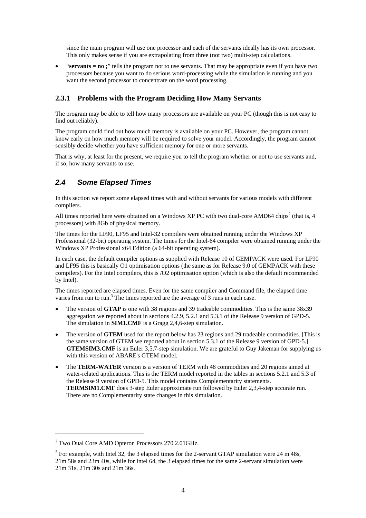since the main program will use one processor and each of the servants ideally has its own processor. This only makes sense if you are extrapolating from three (not two) multi-step calculations.

• "**servants = no**;" tells the program not to use servants. That may be appropriate even if you have two processors because you want to do serious word-processing while the simulation is running and you want the second processor to concentrate on the word processing.

#### **2.3.1 Problems with the Program Deciding How Many Servants**

The program may be able to tell how many processors are available on your PC (though this is not easy to find out reliably).

The program could find out how much memory is available on your PC. However, the program cannot know early on how much memory will be required to solve your model. Accordingly, the program cannot sensibly decide whether you have sufficient memory for one or more servants.

That is why, at least for the present, we require you to tell the program whether or not to use servants and, if so, how many servants to use.

#### *2.4 Some Elapsed Times*

In this section we report some elapsed times with and without servants for various models with different compilers.

All times reported here were obtained on a Windows XP PC with two dual-core AMD64 chips<sup>2</sup> (that is, 4 processors) with 8Gb of physical memory.

The times for the LF90, LF95 and Intel-32 compilers were obtained running under the Windows XP Professional (32-bit) operating system. The times for the Intel-64 compiler were obtained running under the Windows XP Professional x64 Edition (a 64-bit operating system).

In each case, the default compiler options as supplied with Release 10 of GEMPACK were used. For LF90 and LF95 this is basically O1 optimisation options (the same as for Release 9.0 of GEMPACK with these compilers). For the Intel compilers, this is /O2 optimisation option (which is also the default recommended by Intel).

The times reported are elapsed times. Even for the same compiler and Command file, the elapsed time varies from run to run.<sup>3</sup> The times reported are the average of 3 runs in each case.

- The version of **GTAP** is one with 38 regions and 39 tradeable commodities. This is the same 38x39 aggregation we reported about in sections 4.2.9, 5.2.1 and 5.3.1 of the Release 9 version of GPD-5. The simulation in **SIM1.CMF** is a Gragg 2,4,6-step simulation.
- The version of **GTEM** used for the report below has 23 regions and 29 tradeable commodities. [This is the same version of GTEM we reported about in section 5.3.1 of the Release 9 version of GPD-5.] **GTEMSIM3.CMF** is an Euler 3.5.7-step simulation. We are grateful to Guy Jakeman for supplying us with this version of ABARE's GTEM model.
- The **TERM-WATER** version is a version of TERM with 48 commodities and 20 regions aimed at water-related applications. This is the TERM model reported in the tables in sections 5.2.1 and 5.3 of the Release 9 version of GPD-5. This model contains Complementarity statements. **TERMSIM1.CMF** does 3-step Euler approximate run followed by Euler 2,3,4-step accurate run. There are no Complementarity state changes in this simulation.

 $\overline{a}$ 

<sup>&</sup>lt;sup>2</sup> Two Dual Core AMD Opteron Processors 270 2.01GHz.

 $3$  For example, with Intel 32, the 3 elapsed times for the 2-servant GTAP simulation were 24 m 48s, 21m 58s and 23m 40s, while for Intel 64, the 3 elapsed times for the same 2-servant simulation were 21m 31s, 21m 30s and 21m 36s.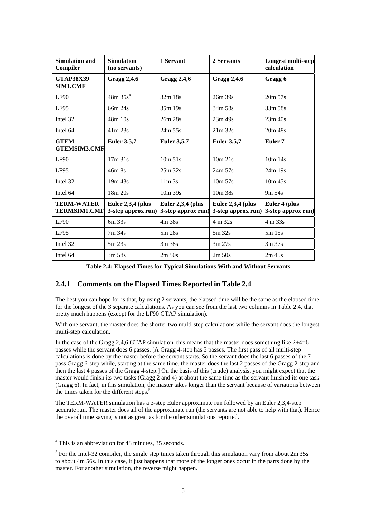| Simulation and<br>Compiler               | <b>Simulation</b><br>(no servants)        | 1 Servant                                 | 2 Servants                                | Longest multi-step<br>calculation   |
|------------------------------------------|-------------------------------------------|-------------------------------------------|-------------------------------------------|-------------------------------------|
| <b>GTAP38X39</b><br>SIM1.CMF             | <b>Gragg 2,4,6</b>                        | <b>Gragg 2,4,6</b>                        | <b>Gragg 2,4,6</b>                        | Gragg 6                             |
| LF90                                     | 48m35s <sup>4</sup>                       | 32m 18s                                   | 26m 39s                                   | $20m\,57s$                          |
| LF95                                     | 66m 24s                                   | 35m 19s                                   | 34m 58s                                   | 33m 58s                             |
| Intel 32                                 | 48m 10s                                   | 26m 28s                                   | 23m 49s                                   | $23m$ 40s                           |
| Intel 64                                 | $41m$ 23s                                 | $24m$ 55s                                 | $21m$ 32s                                 | 20m 48s                             |
| <b>GTEM</b><br><b>GTEMSIM3.CMF</b>       | <b>Euler 3,5,7</b>                        | <b>Euler 3,5,7</b>                        | <b>Euler 3,5,7</b>                        | Euler <sub>7</sub>                  |
| LF90                                     | 17m.31s                                   | $10m\,51s$                                | 10m 21s                                   | $10m$ 14s                           |
| LF95                                     | 46m 8s                                    | 25m 32s                                   | 24m 57s                                   | 24m 19s                             |
| Intel 32                                 | 19m 43s                                   | $11m$ 3s                                  | 10m 57s                                   | $10m$ 45s                           |
| Intel 64                                 | 18m 20s                                   | 10m 39s                                   | 10m 38s                                   | 9m 54s                              |
| <b>TERM-WATER</b><br><b>TERMSIM1.CMF</b> | Euler $2,3,4$ (plus<br>3-step approx run) | Euler $2,3,4$ (plus<br>3-step approx run) | Euler $2,3,4$ (plus<br>3-step approx run) | Euler 4 (plus<br>3-step approx run) |
| LF90                                     | 6m 33s                                    | 4m 38s                                    | 4 m 32s                                   | 4 m 33s                             |
| LF95                                     | 7m 34s                                    | 5m 28s                                    | $5m$ 32s                                  | 5m15s                               |
| Intel 32                                 | 5m 23s                                    | 3m38s                                     | $3m\,27s$                                 | 3m37s                               |
| Intel 64                                 | $3m\,58s$                                 | 2m 50s                                    | $2m\,50s$                                 | $2m$ 45s                            |

**Table 2.4: Elapsed Times for Typical Simulations With and Without Servants** 

#### **2.4.1 Comments on the Elapsed Times Reported in Table 2.4**

The best you can hope for is that, by using 2 servants, the elapsed time will be the same as the elapsed time for the longest of the 3 separate calculations. As you can see from the last two columns in Table 2.4, that pretty much happens (except for the LF90 GTAP simulation).

With one servant, the master does the shorter two multi-step calculations while the servant does the longest multi-step calculation.

In the case of the Gragg 2,4,6 GTAP simulation, this means that the master does something like 2+4=6 passes while the servant does 6 passes. [A Gragg 4-step has 5 passes. The first pass of all multi-step calculations is done by the master before the servant starts. So the servant does the last 6 passes of the 7 pass Gragg 6-step while, starting at the same time, the master does the last 2 passes of the Gragg 2-step and then the last 4 passes of the Gragg 4-step.] On the basis of this (crude) analysis, you might expect that the master would finish its two tasks (Gragg 2 and 4) at about the same time as the servant finished its one task (Gragg 6). In fact, in this simulation, the master takes longer than the servant because of variations between the times taken for the different steps.<sup>5</sup>

The TERM-WATER simulation has a 3-step Euler approximate run followed by an Euler 2,3,4-step accurate run. The master does all of the approximate run (the servants are not able to help with that). Hence the overall time saving is not as great as for the other simulations reported.

 $\overline{a}$ 

<sup>&</sup>lt;sup>4</sup> This is an abbreviation for 48 minutes, 35 seconds.

<sup>&</sup>lt;sup>5</sup> For the Intel-32 compiler, the single step times taken through this simulation vary from about  $2m$  35s to about 4m 56s. In this case, it just happens that more of the longer ones occur in the parts done by the master. For another simulation, the reverse might happen.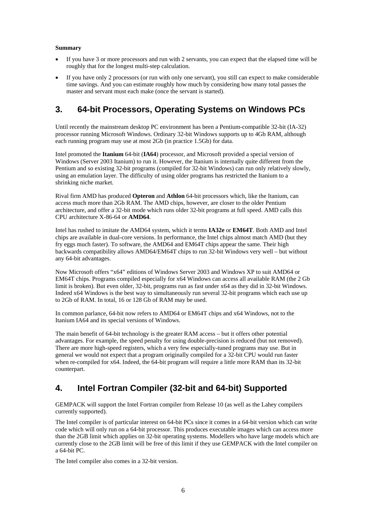#### **Summary**

- If you have 3 or more processors and run with 2 servants, you can expect that the elapsed time will be roughly that for the longest multi-step calculation.
- If you have only 2 processors (or run with only one servant), you still can expect to make considerable time savings. And you can estimate roughly how much by considering how many total passes the master and servant must each make (once the servant is started).

# **3. 64-bit Processors, Operating Systems on Windows PCs**

Until recently the mainstream desktop PC environment has been a Pentium-compatible 32-bit (IA-32) processor running Microsoft Windows. Ordinary 32-bit Windows supports up to 4Gb RAM, although each running program may use at most 2Gb (in practice 1.5Gb) for data.

Intel promoted the **Itanium** 64-bit (**IA64**) processor, and Microsoft provided a special version of Windows (Server 2003 Itanium) to run it. However, the Itanium is internally quite different from the Pentium and so existing 32-bit programs (compiled for 32-bit Windows) can run only relatively slowly, using an emulation layer. The difficulty of using older programs has restricted the Itanium to a shrinking niche market.

Rival firm AMD has produced **Opteron** and **Athlon** 64-bit processors which, like the Itanium, can access much more than 2Gb RAM. The AMD chips, however, are closer to the older Pentium architecture, and offer a 32-bit mode which runs older 32-bit programs at full speed. AMD calls this CPU architecture X-86-64 or **AMD64**.

Intel has rushed to imitate the AMD64 system, which it terms **IA32e** or **EM64T**. Both AMD and Intel chips are available in dual-core versions. In performance, the Intel chips almost match AMD (but they fry eggs much faster). To software, the AMD64 and EM64T chips appear the same. Their high backwards compatibility allows AMD64/EM64T chips to run 32-bit Windows very well – but without any 64-bit advantages.

Now Microsoft offers "x64" editions of Windows Server 2003 and Windows XP to suit AMD64 or EM64T chips. Programs compiled especially for x64 Windows can access all available RAM (the 2 Gb limit is broken). But even older, 32-bit, programs run as fast under x64 as they did in 32-bit Windows. Indeed x64 Windows is the best way to simultaneously run several 32-bit programs which each use up to 2Gb of RAM. In total, 16 or 128 Gb of RAM may be used.

In common parlance, 64-bit now refers to AMD64 or EM64T chips and x64 Windows, not to the Itanium IA64 and its special versions of Windows.

The main benefit of 64-bit technology is the greater RAM access – but it offers other potential advantages. For example, the speed penalty for using double-precision is reduced (but not removed). There are more high-speed registers, which a very few especially-tuned programs may use. But in general we would not expect that a program originally compiled for a 32-bit CPU would run faster when re-compiled for x64. Indeed, the 64-bit program will require a little more RAM than its 32-bit counterpart.

# **4. Intel Fortran Compiler (32-bit and 64-bit) Supported**

GEMPACK will support the Intel Fortran compiler from Release 10 (as well as the Lahey compilers currently supported).

The Intel compiler is of particular interest on 64-bit PCs since it comes in a 64-bit version which can write code which will only run on a 64-bit processor. This produces executable images which can access more than the 2GB limit which applies on 32-bit operating systems. Modellers who have large models which are currently close to the 2GB limit will be free of this limit if they use GEMPACK with the Intel compiler on a 64-bit PC.

The Intel compiler also comes in a 32-bit version.